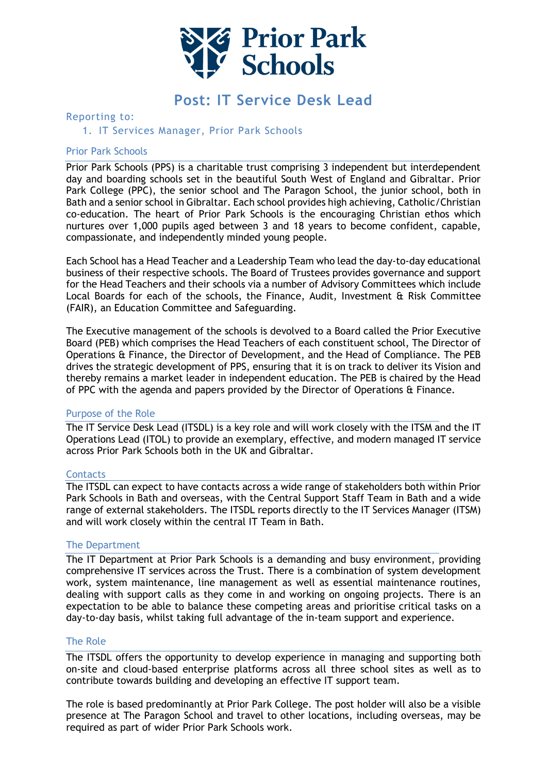

# **Post: IT Service Desk Lead**

# Reporting to:

# 1. IT Services Manager, Prior Park Schools

## Prior Park Schools

Prior Park Schools (PPS) is a charitable trust comprising 3 independent but interdependent day and boarding schools set in the beautiful South West of England and Gibraltar. Prior Park College (PPC), the senior school and The Paragon School, the junior school, both in Bath and a senior school in Gibraltar. Each school provides high achieving, Catholic/Christian co-education. The heart of Prior Park Schools is the encouraging Christian ethos which nurtures over 1,000 pupils aged between 3 and 18 years to become confident, capable, compassionate, and independently minded young people.

Each School has a Head Teacher and a Leadership Team who lead the day-to-day educational business of their respective schools. The Board of Trustees provides governance and support for the Head Teachers and their schools via a number of Advisory Committees which include Local Boards for each of the schools, the Finance, Audit, Investment & Risk Committee (FAIR), an Education Committee and Safeguarding.

The Executive management of the schools is devolved to a Board called the Prior Executive Board (PEB) which comprises the Head Teachers of each constituent school, The Director of Operations & Finance, the Director of Development, and the Head of Compliance. The PEB drives the strategic development of PPS, ensuring that it is on track to deliver its Vision and thereby remains a market leader in independent education. The PEB is chaired by the Head of PPC with the agenda and papers provided by the Director of Operations & Finance.

#### Purpose of the Role

The IT Service Desk Lead (ITSDL) is a key role and will work closely with the ITSM and the IT Operations Lead (ITOL) to provide an exemplary, effective, and modern managed IT service across Prior Park Schools both in the UK and Gibraltar.

#### **Contacts**

The ITSDL can expect to have contacts across a wide range of stakeholders both within Prior Park Schools in Bath and overseas, with the Central Support Staff Team in Bath and a wide range of external stakeholders. The ITSDL reports directly to the IT Services Manager (ITSM) and will work closely within the central IT Team in Bath.

#### The Department

The IT Department at Prior Park Schools is a demanding and busy environment, providing comprehensive IT services across the Trust. There is a combination of system development work, system maintenance, line management as well as essential maintenance routines, dealing with support calls as they come in and working on ongoing projects. There is an expectation to be able to balance these competing areas and prioritise critical tasks on a day-to-day basis, whilst taking full advantage of the in-team support and experience.

#### The Role

The ITSDL offers the opportunity to develop experience in managing and supporting both on-site and cloud-based enterprise platforms across all three school sites as well as to contribute towards building and developing an effective IT support team.

The role is based predominantly at Prior Park College. The post holder will also be a visible presence at The Paragon School and travel to other locations, including overseas, may be required as part of wider Prior Park Schools work.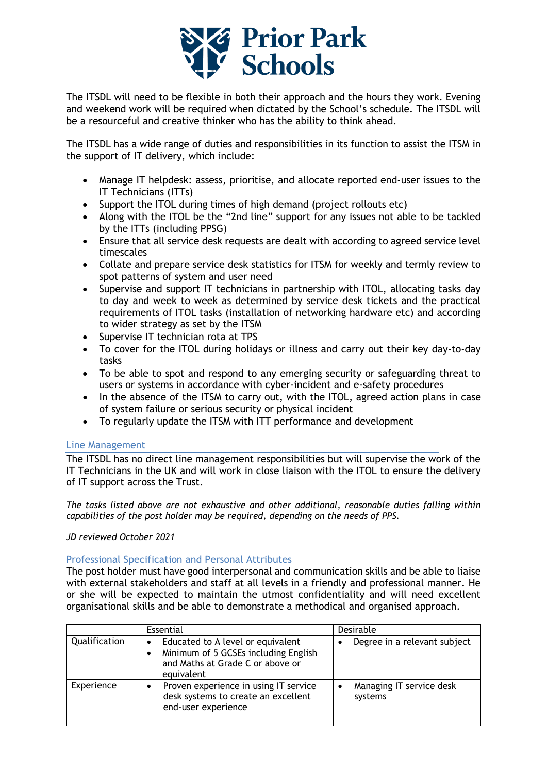

The ITSDL will need to be flexible in both their approach and the hours they work. Evening and weekend work will be required when dictated by the School's schedule. The ITSDL will be a resourceful and creative thinker who has the ability to think ahead.

The ITSDL has a wide range of duties and responsibilities in its function to assist the ITSM in the support of IT delivery, which include:

- Manage IT helpdesk: assess, prioritise, and allocate reported end-user issues to the IT Technicians (ITTs)
- Support the ITOL during times of high demand (project rollouts etc)
- Along with the ITOL be the "2nd line" support for any issues not able to be tackled by the ITTs (including PPSG)
- Ensure that all service desk requests are dealt with according to agreed service level timescales
- Collate and prepare service desk statistics for ITSM for weekly and termly review to spot patterns of system and user need
- Supervise and support IT technicians in partnership with ITOL, allocating tasks day to day and week to week as determined by service desk tickets and the practical requirements of ITOL tasks (installation of networking hardware etc) and according to wider strategy as set by the ITSM
- Supervise IT technician rota at TPS
- To cover for the ITOL during holidays or illness and carry out their key day-to-day tasks
- To be able to spot and respond to any emerging security or safeguarding threat to users or systems in accordance with cyber-incident and e-safety procedures
- In the absence of the ITSM to carry out, with the ITOL, agreed action plans in case of system failure or serious security or physical incident
- To regularly update the ITSM with ITT performance and development

# Line Management

The ITSDL has no direct line management responsibilities but will supervise the work of the IT Technicians in the UK and will work in close liaison with the ITOL to ensure the delivery of IT support across the Trust.

*The tasks listed above are not exhaustive and other additional, reasonable duties falling within capabilities of the post holder may be required, depending on the needs of PPS.*

#### *JD reviewed October 2021*

#### Professional Specification and Personal Attributes

The post holder must have good interpersonal and communication skills and be able to liaise with external stakeholders and staff at all levels in a friendly and professional manner. He or she will be expected to maintain the utmost confidentiality and will need excellent organisational skills and be able to demonstrate a methodical and organised approach.

|               | Essential                                                                                                                        | Desirable                           |
|---------------|----------------------------------------------------------------------------------------------------------------------------------|-------------------------------------|
| Qualification | Educated to A level or equivalent<br>٠<br>Minimum of 5 GCSEs including English<br>and Maths at Grade C or above or<br>equivalent | Degree in a relevant subject        |
| Experience    | Proven experience in using IT service<br>desk systems to create an excellent<br>end-user experience                              | Managing IT service desk<br>systems |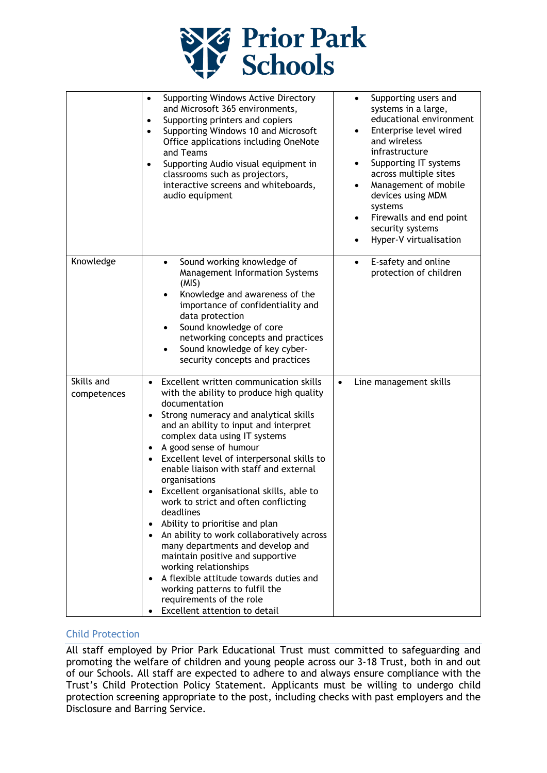

|                           | Supporting Windows Active Directory<br>$\bullet$<br>and Microsoft 365 environments,<br>Supporting printers and copiers<br>$\bullet$<br>Supporting Windows 10 and Microsoft<br>$\bullet$<br>Office applications including OneNote<br>and Teams<br>Supporting Audio visual equipment in<br>$\bullet$<br>classrooms such as projectors,<br>interactive screens and whiteboards,<br>audio equipment                                                                                                                                                                                                                                                                                                                                                                                                  | Supporting users and<br>$\bullet$<br>systems in a large,<br>educational environment<br>Enterprise level wired<br>and wireless<br>infrastructure<br>Supporting IT systems<br>across multiple sites<br>Management of mobile<br>$\bullet$<br>devices using MDM<br>systems<br>Firewalls and end point<br>٠<br>security systems<br>Hyper-V virtualisation<br>٠ |
|---------------------------|--------------------------------------------------------------------------------------------------------------------------------------------------------------------------------------------------------------------------------------------------------------------------------------------------------------------------------------------------------------------------------------------------------------------------------------------------------------------------------------------------------------------------------------------------------------------------------------------------------------------------------------------------------------------------------------------------------------------------------------------------------------------------------------------------|-----------------------------------------------------------------------------------------------------------------------------------------------------------------------------------------------------------------------------------------------------------------------------------------------------------------------------------------------------------|
| Knowledge                 | Sound working knowledge of<br>$\bullet$<br>Management Information Systems<br>(MIS)<br>Knowledge and awareness of the<br>importance of confidentiality and<br>data protection<br>Sound knowledge of core<br>٠<br>networking concepts and practices<br>Sound knowledge of key cyber-<br>security concepts and practices                                                                                                                                                                                                                                                                                                                                                                                                                                                                            | E-safety and online<br>$\bullet$<br>protection of children                                                                                                                                                                                                                                                                                                |
| Skills and<br>competences | Excellent written communication skills<br>$\bullet$<br>with the ability to produce high quality<br>documentation<br>Strong numeracy and analytical skills<br>and an ability to input and interpret<br>complex data using IT systems<br>A good sense of humour<br>Excellent level of interpersonal skills to<br>enable liaison with staff and external<br>organisations<br>Excellent organisational skills, able to<br>work to strict and often conflicting<br>deadlines<br>Ability to prioritise and plan<br>An ability to work collaboratively across<br>many departments and develop and<br>maintain positive and supportive<br>working relationships<br>A flexible attitude towards duties and<br>working patterns to fulfil the<br>requirements of the role<br>Excellent attention to detail | Line management skills<br>$\bullet$                                                                                                                                                                                                                                                                                                                       |

# Child Protection

All staff employed by Prior Park Educational Trust must committed to safeguarding and promoting the welfare of children and young people across our 3-18 Trust, both in and out of our Schools. All staff are expected to adhere to and always ensure compliance with the Trust's Child Protection Policy Statement. Applicants must be willing to undergo child protection screening appropriate to the post, including checks with past employers and the Disclosure and Barring Service.